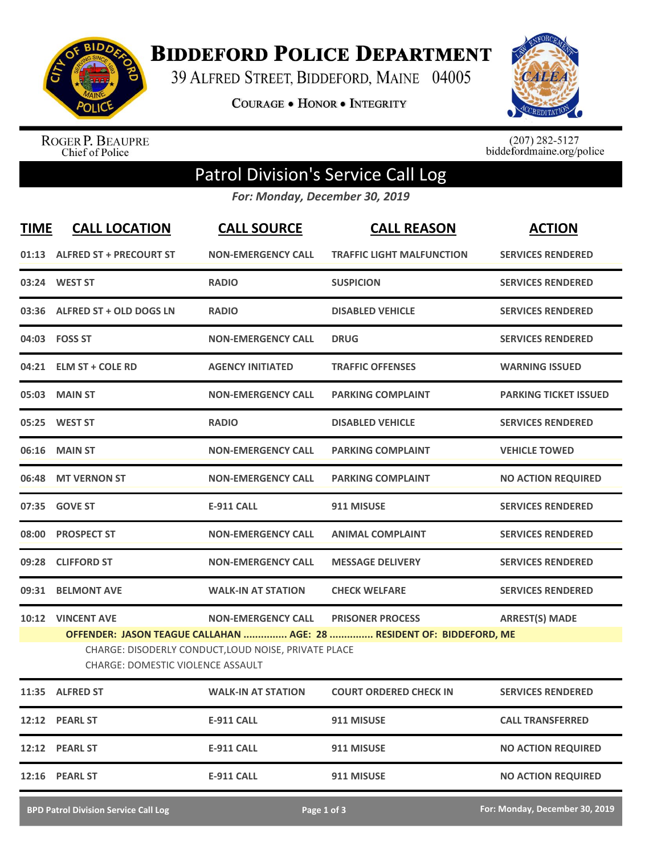

**BIDDEFORD POLICE DEPARTMENT** 

39 ALFRED STREET, BIDDEFORD, MAINE 04005

**COURAGE . HONOR . INTEGRITY** 



ROGER P. BEAUPRE<br>Chief of Police

 $(207)$  282-5127<br>biddefordmaine.org/police

## Patrol Division's Service Call Log

*For: Monday, December 30, 2019*

| <b>TIME</b> | <b>CALL LOCATION</b>                                                                                                                                                     | <b>CALL SOURCE</b>        | <b>CALL REASON</b>               | <b>ACTION</b>                |  |  |
|-------------|--------------------------------------------------------------------------------------------------------------------------------------------------------------------------|---------------------------|----------------------------------|------------------------------|--|--|
|             | 01:13 ALFRED ST + PRECOURT ST                                                                                                                                            | <b>NON-EMERGENCY CALL</b> | <b>TRAFFIC LIGHT MALFUNCTION</b> | <b>SERVICES RENDERED</b>     |  |  |
|             | 03:24 WEST ST                                                                                                                                                            | <b>RADIO</b>              | <b>SUSPICION</b>                 | <b>SERVICES RENDERED</b>     |  |  |
|             | 03:36 ALFRED ST + OLD DOGS LN                                                                                                                                            | <b>RADIO</b>              | <b>DISABLED VEHICLE</b>          | <b>SERVICES RENDERED</b>     |  |  |
|             | 04:03 FOSS ST                                                                                                                                                            | <b>NON-EMERGENCY CALL</b> | <b>DRUG</b>                      | <b>SERVICES RENDERED</b>     |  |  |
|             | 04:21 ELM ST + COLE RD                                                                                                                                                   | <b>AGENCY INITIATED</b>   | <b>TRAFFIC OFFENSES</b>          | <b>WARNING ISSUED</b>        |  |  |
|             | 05:03 MAIN ST                                                                                                                                                            | <b>NON-EMERGENCY CALL</b> | <b>PARKING COMPLAINT</b>         | <b>PARKING TICKET ISSUED</b> |  |  |
|             | 05:25 WEST ST                                                                                                                                                            | <b>RADIO</b>              | <b>DISABLED VEHICLE</b>          | <b>SERVICES RENDERED</b>     |  |  |
|             | 06:16 MAIN ST                                                                                                                                                            | <b>NON-EMERGENCY CALL</b> | <b>PARKING COMPLAINT</b>         | <b>VEHICLE TOWED</b>         |  |  |
|             | 06:48 MT VERNON ST                                                                                                                                                       | <b>NON-EMERGENCY CALL</b> | <b>PARKING COMPLAINT</b>         | <b>NO ACTION REQUIRED</b>    |  |  |
|             | 07:35 GOVE ST                                                                                                                                                            | <b>E-911 CALL</b>         | 911 MISUSE                       | <b>SERVICES RENDERED</b>     |  |  |
|             | 08:00 PROSPECT ST                                                                                                                                                        | <b>NON-EMERGENCY CALL</b> | <b>ANIMAL COMPLAINT</b>          | <b>SERVICES RENDERED</b>     |  |  |
|             | 09:28 CLIFFORD ST                                                                                                                                                        | <b>NON-EMERGENCY CALL</b> | <b>MESSAGE DELIVERY</b>          | <b>SERVICES RENDERED</b>     |  |  |
|             | 09:31 BELMONT AVE                                                                                                                                                        | <b>WALK-IN AT STATION</b> | <b>CHECK WELFARE</b>             | <b>SERVICES RENDERED</b>     |  |  |
|             | 10:12 VINCENT AVE                                                                                                                                                        | <b>NON-EMERGENCY CALL</b> | <b>PRISONER PROCESS</b>          | <b>ARREST(S) MADE</b>        |  |  |
|             | OFFENDER: JASON TEAGUE CALLAHAN  AGE: 28  RESIDENT OF: BIDDEFORD, ME<br>CHARGE: DISODERLY CONDUCT, LOUD NOISE, PRIVATE PLACE<br><b>CHARGE: DOMESTIC VIOLENCE ASSAULT</b> |                           |                                  |                              |  |  |
|             | 11:35 ALFRED ST                                                                                                                                                          | <b>WALK-IN AT STATION</b> | <b>COURT ORDERED CHECK IN</b>    | <b>SERVICES RENDERED</b>     |  |  |
| 12:12       | <b>PEARL ST</b>                                                                                                                                                          | E-911 CALL                | 911 MISUSE                       | <b>CALL TRANSFERRED</b>      |  |  |
| 12:12       | <b>PEARL ST</b>                                                                                                                                                          | <b>E-911 CALL</b>         | 911 MISUSE                       | <b>NO ACTION REQUIRED</b>    |  |  |
| 12:16       | <b>PEARL ST</b>                                                                                                                                                          | E-911 CALL                | 911 MISUSE                       | <b>NO ACTION REQUIRED</b>    |  |  |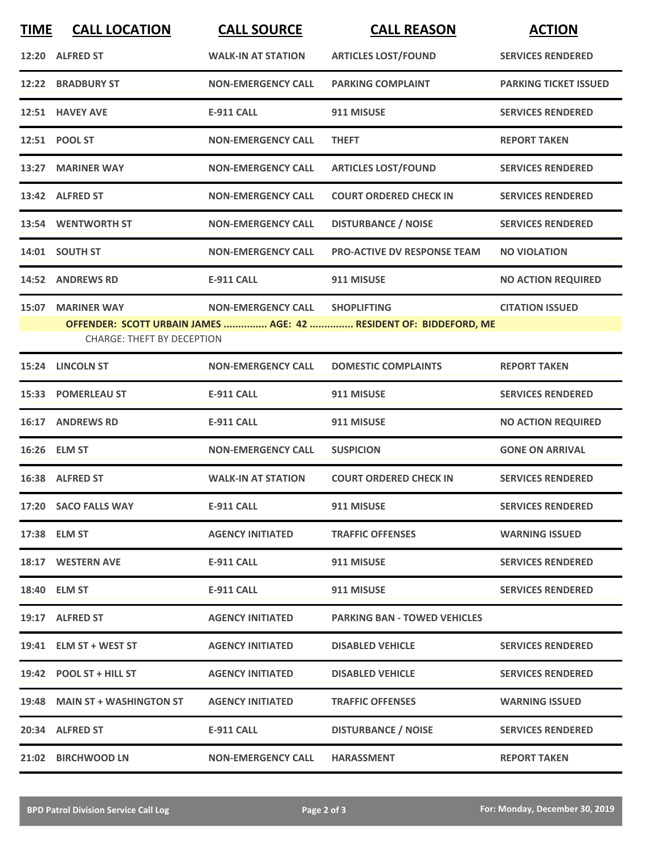| <b>TIME</b> | <b>CALL LOCATION</b>                                    | <b>CALL SOURCE</b>        | <b>CALL REASON</b>                                                                      | <b>ACTION</b>                |
|-------------|---------------------------------------------------------|---------------------------|-----------------------------------------------------------------------------------------|------------------------------|
|             | 12:20 ALFRED ST                                         | <b>WALK-IN AT STATION</b> | <b>ARTICLES LOST/FOUND</b>                                                              | <b>SERVICES RENDERED</b>     |
|             | 12:22 BRADBURY ST                                       | <b>NON-EMERGENCY CALL</b> | <b>PARKING COMPLAINT</b>                                                                | <b>PARKING TICKET ISSUED</b> |
|             | 12:51 HAVEY AVE                                         | <b>E-911 CALL</b>         | 911 MISUSE                                                                              | <b>SERVICES RENDERED</b>     |
|             | 12:51 POOL ST                                           | <b>NON-EMERGENCY CALL</b> | <b>THEFT</b>                                                                            | <b>REPORT TAKEN</b>          |
|             | 13:27 MARINER WAY                                       | <b>NON-EMERGENCY CALL</b> | <b>ARTICLES LOST/FOUND</b>                                                              | <b>SERVICES RENDERED</b>     |
|             | 13:42 ALFRED ST                                         | <b>NON-EMERGENCY CALL</b> | <b>COURT ORDERED CHECK IN</b>                                                           | <b>SERVICES RENDERED</b>     |
|             | 13:54 WENTWORTH ST                                      | <b>NON-EMERGENCY CALL</b> | <b>DISTURBANCE / NOISE</b>                                                              | <b>SERVICES RENDERED</b>     |
|             | 14:01 SOUTH ST                                          | <b>NON-EMERGENCY CALL</b> | <b>PRO-ACTIVE DV RESPONSE TEAM</b>                                                      | <b>NO VIOLATION</b>          |
| 14:52       | <b>ANDREWS RD</b>                                       | <b>E-911 CALL</b>         | 911 MISUSE                                                                              | <b>NO ACTION REQUIRED</b>    |
| 15:07       | <b>MARINER WAY</b><br><b>CHARGE: THEFT BY DECEPTION</b> | <b>NON-EMERGENCY CALL</b> | <b>SHOPLIFTING</b><br>OFFENDER: SCOTT URBAIN JAMES  AGE: 42  RESIDENT OF: BIDDEFORD, ME | <b>CITATION ISSUED</b>       |
|             | 15:24 LINCOLN ST                                        | <b>NON-EMERGENCY CALL</b> | <b>DOMESTIC COMPLAINTS</b>                                                              | <b>REPORT TAKEN</b>          |
|             | 15:33 POMERLEAU ST                                      | <b>E-911 CALL</b>         | 911 MISUSE                                                                              | <b>SERVICES RENDERED</b>     |
| 16:17       | <b>ANDREWS RD</b>                                       | <b>E-911 CALL</b>         | 911 MISUSE                                                                              | <b>NO ACTION REQUIRED</b>    |
|             | 16:26 ELM ST                                            | <b>NON-EMERGENCY CALL</b> | <b>SUSPICION</b>                                                                        | <b>GONE ON ARRIVAL</b>       |
|             | 16:38 ALFRED ST                                         | <b>WALK-IN AT STATION</b> | <b>COURT ORDERED CHECK IN</b>                                                           | <b>SERVICES RENDERED</b>     |
|             | 17:20 SACO FALLS WAY                                    | <b>E-911 CALL</b>         | 911 MISUSE                                                                              | <b>SERVICES RENDERED</b>     |
|             | 17:38 ELM ST                                            | <b>AGENCY INITIATED</b>   | <b>TRAFFIC OFFENSES</b>                                                                 | <b>WARNING ISSUED</b>        |
|             | 18:17 WESTERN AVE                                       | E-911 CALL                | 911 MISUSE                                                                              | <b>SERVICES RENDERED</b>     |
|             | 18:40 ELM ST                                            | E-911 CALL                | 911 MISUSE                                                                              | <b>SERVICES RENDERED</b>     |
|             | 19:17 ALFRED ST                                         | <b>AGENCY INITIATED</b>   | <b>PARKING BAN - TOWED VEHICLES</b>                                                     |                              |
|             | 19:41 ELM ST + WEST ST                                  | <b>AGENCY INITIATED</b>   | <b>DISABLED VEHICLE</b>                                                                 | <b>SERVICES RENDERED</b>     |
|             | $19:42$ POOL ST + HILL ST                               | <b>AGENCY INITIATED</b>   | <b>DISABLED VEHICLE</b>                                                                 | <b>SERVICES RENDERED</b>     |
|             | 19:48 MAIN ST + WASHINGTON ST                           | <b>AGENCY INITIATED</b>   | <b>TRAFFIC OFFENSES</b>                                                                 | <b>WARNING ISSUED</b>        |
|             | 20:34 ALFRED ST                                         | E-911 CALL                | <b>DISTURBANCE / NOISE</b>                                                              | <b>SERVICES RENDERED</b>     |
|             | 21:02 BIRCHWOOD LN                                      | <b>NON-EMERGENCY CALL</b> | <b>HARASSMENT</b>                                                                       | <b>REPORT TAKEN</b>          |